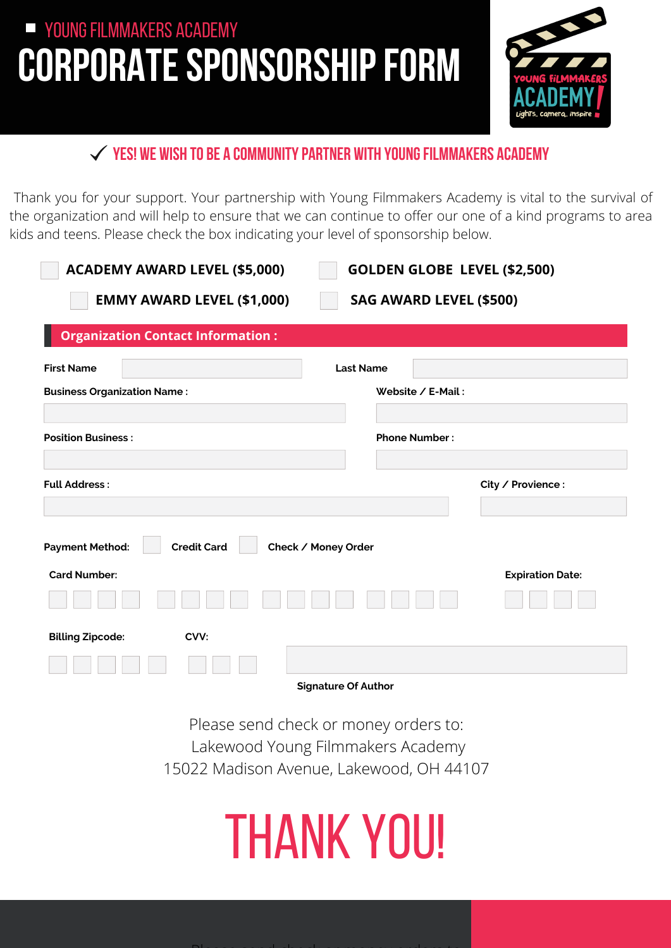## **CORPORATE SPONSORSHIP FORM YOUNG FILMMAKERS ACADEMY**



#### **YES! We wish to be a communitypartner with YoungFilmmakers Academy**

Thank you for your support. Your partnership with Young Filmmakers Academy is vital to the survival of the organization and will help to ensure that we can continue to offer our one of a kind programs to area kids and teens. Please check the box indicating your level of sponsorship below.

| <b>ACADEMY AWARD LEVEL (\$5,000)</b><br><b>GOLDEN GLOBE LEVEL (\$2,500)</b> |                         |
|-----------------------------------------------------------------------------|-------------------------|
| <b>EMMY AWARD LEVEL (\$1,000)</b><br><b>SAG AWARD LEVEL (\$500)</b>         |                         |
| <b>Organization Contact Information:</b>                                    |                         |
| <b>First Name</b>                                                           | <b>Last Name</b>        |
| <b>Business Organization Name:</b>                                          | Website / E-Mail:       |
|                                                                             |                         |
| <b>Position Business:</b>                                                   | <b>Phone Number:</b>    |
|                                                                             |                         |
| <b>Full Address:</b>                                                        | City / Provience :      |
|                                                                             |                         |
| <b>Credit Card</b><br><b>Payment Method:</b><br>Check / Money Order         |                         |
| <b>Card Number:</b>                                                         | <b>Expiration Date:</b> |
|                                                                             |                         |
| <b>Billing Zipcode:</b><br>CVV:                                             |                         |
|                                                                             |                         |
| Sianature Of Author                                                         |                         |

**Signature Of Author**

Please send check or money orders to: Lakewood Young Filmmakers Academy 15022 Madison Avenue, Lakewood, OH 44107

## THANK YOU!

Please send check or money orders to: